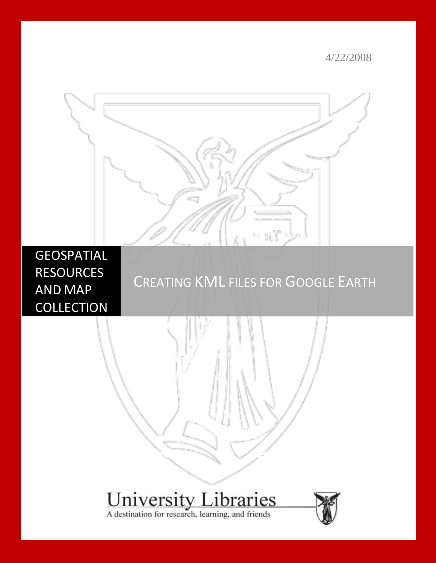4/22/2008



## **GEOSPATIAL** RESOURCES AND MAP **COLLECTION**

# CREATING KML FILES FOR GOOGLE EARTH

# **University Libraries**<br>A destination for research, learning, and friends

l,

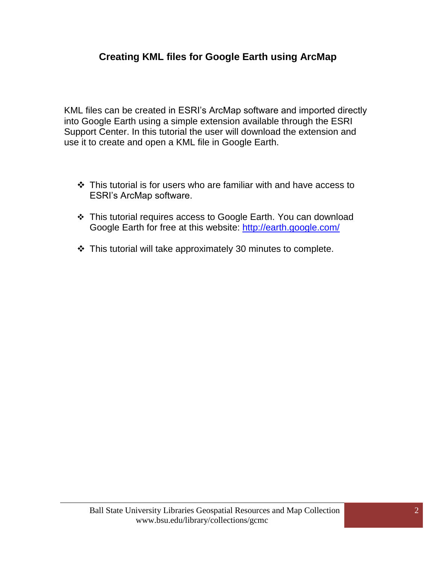## **Creating KML files for Google Earth using ArcMap**

KML files can be created in ESRI's ArcMap software and imported directly into Google Earth using a simple extension available through the ESRI Support Center. In this tutorial the user will download the extension and use it to create and open a KML file in Google Earth.

- This tutorial is for users who are familiar with and have access to ESRI's ArcMap software.
- \* This tutorial requires access to Google Earth. You can download Google Earth for free at this website:<http://earth.google.com/>
- $\cdot$  This tutorial will take approximately 30 minutes to complete.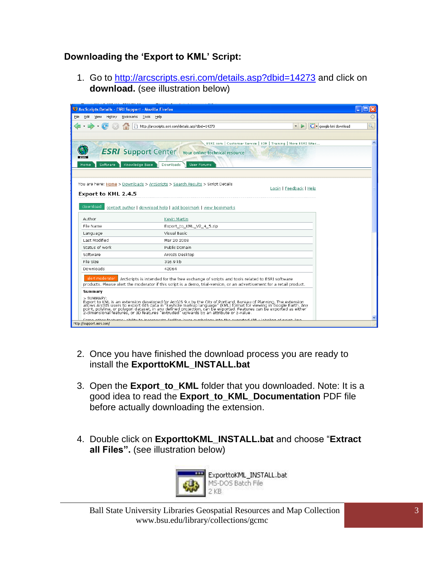## **Downloading the 'Export to KML' Script:**

1. Go to<http://arcscripts.esri.com/details.asp?dbid=14273> and click on **download.** (see illustration below)

| C ArcScripts Details - ESRI Support - Mozilla Firefox                         |                                                                                                                                                                                                                                   |                                                                          |   |  |  |
|-------------------------------------------------------------------------------|-----------------------------------------------------------------------------------------------------------------------------------------------------------------------------------------------------------------------------------|--------------------------------------------------------------------------|---|--|--|
| Bookmarks Tools<br>File<br>Edit<br>View<br>History<br>Help                    |                                                                                                                                                                                                                                   |                                                                          |   |  |  |
|                                                                               | http://arcscripts.esri.com/details.asp?dbid=14273                                                                                                                                                                                 | G · google kml download<br>$\triangleright$<br>$\boldsymbol{\mathrm{v}}$ | Q |  |  |
|                                                                               |                                                                                                                                                                                                                                   |                                                                          |   |  |  |
|                                                                               | ESRI.com   Customer Service   EDN   Training   More ESRI Sites                                                                                                                                                                    |                                                                          | 木 |  |  |
| <b>ESRI</b>                                                                   | <b>ESRI</b> Support Center Your online technical resource                                                                                                                                                                         |                                                                          |   |  |  |
| Software<br>Knowledge Base<br>Home                                            | Downloads<br><b>User Forums</b>                                                                                                                                                                                                   |                                                                          |   |  |  |
|                                                                               |                                                                                                                                                                                                                                   |                                                                          |   |  |  |
| You are here: Home > Downloads > ArcScripts > Search Results > Script Details |                                                                                                                                                                                                                                   |                                                                          |   |  |  |
|                                                                               |                                                                                                                                                                                                                                   | Login   Feedback   Help                                                  |   |  |  |
| Export to KML 2.4.5                                                           |                                                                                                                                                                                                                                   |                                                                          |   |  |  |
| download                                                                      | contact author   download help   add bookmark   view bookmarks                                                                                                                                                                    |                                                                          |   |  |  |
| Author                                                                        | Kevin Martin                                                                                                                                                                                                                      |                                                                          |   |  |  |
| File Name                                                                     | Export_to_KML_V2_4_5.zip                                                                                                                                                                                                          |                                                                          |   |  |  |
| Language                                                                      | Visual Basic                                                                                                                                                                                                                      |                                                                          |   |  |  |
| Last Modified                                                                 | Mar 20 2008                                                                                                                                                                                                                       |                                                                          |   |  |  |
| Status of work                                                                | Public Domain                                                                                                                                                                                                                     |                                                                          |   |  |  |
| Software                                                                      | ArcGIS Desktop                                                                                                                                                                                                                    |                                                                          |   |  |  |
| File Size                                                                     | 316.9 kb                                                                                                                                                                                                                          |                                                                          |   |  |  |
| Downloads                                                                     | 42064                                                                                                                                                                                                                             |                                                                          |   |  |  |
| alert moderator                                                               | ArcScripts is intended for the free exchange of scripts and tools related to ESRI software                                                                                                                                        |                                                                          |   |  |  |
|                                                                               | products. Please alert the moderator if this script is a demo, trial-version, or an advertisement for a retail product.                                                                                                           |                                                                          |   |  |  |
| Summary                                                                       |                                                                                                                                                                                                                                   |                                                                          |   |  |  |
| > SUMMARY:                                                                    |                                                                                                                                                                                                                                   |                                                                          |   |  |  |
|                                                                               | Export for KML is an extension developed for ArcGIS 9.x by the City of Portland, Bureau of Planning. The extension<br>allows ArcGIS users to export GIS data in "keyhole markup language" (KML) format for viewing in Google Eart |                                                                          |   |  |  |
|                                                                               |                                                                                                                                                                                                                                   |                                                                          |   |  |  |
| http://support.esri.com/                                                      | auss cumhologu into tho ounortod KML i Inholing of noint. line<br>sta mora u okilitu teo in onenone                                                                                                                               |                                                                          |   |  |  |

- 2. Once you have finished the download process you are ready to install the **ExporttoKML\_INSTALL.bat**
- 3. Open the **Export\_to\_KML** folder that you downloaded. Note: It is a good idea to read the **Export\_to\_KML\_Documentation** PDF file before actually downloading the extension.
- 4. Double click on **ExporttoKML\_INSTALL.bat** and choose "**Extract all Files".** (see illustration below)



ExporttoKML\_INSTALL.bat MS-DOS Batch File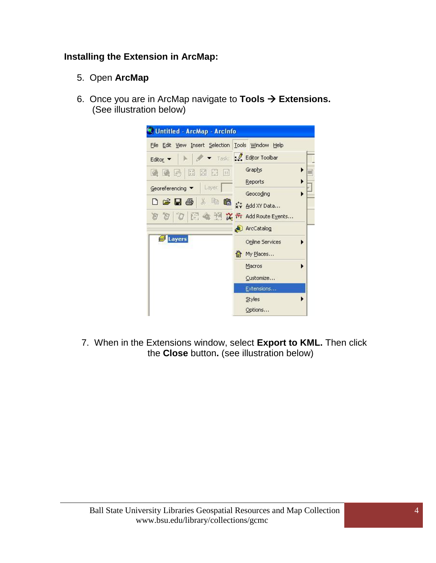#### **Installing the Extension in ArcMap:**

- 5. Open **ArcMap**
- 6. Once you are in ArcMap navigate to **Tools Extensions.** (See illustration below)

| Untitled - ArcMap - ArcInfo                                                                                                                                                                                 |                             |
|-------------------------------------------------------------------------------------------------------------------------------------------------------------------------------------------------------------|-----------------------------|
| File Edit View Insert Selection                                                                                                                                                                             | Tools Window Help           |
| Editor ·                                                                                                                                                                                                    | Task: C Editor Toolbar      |
| $\begin{bmatrix} \mathbf{X} & \mathbf{X} \\ \mathbf{X} & \mathbf{X} \end{bmatrix}$<br>図目<br>$\left  \text{tri} \right $<br>通過                                                                               | Graphs<br>▶                 |
| Layer<br>Georeferencing                                                                                                                                                                                     | Reports                     |
|                                                                                                                                                                                                             | Geocoding                   |
| $\mathsf{D} \in \mathsf{H} \oplus \left[ \begin{smallmatrix} 3 & \mathbb{R} & \mathbb{R} & \mathbb{R} & \mathbb{R} \\ \mathcal{N} & \mathsf{Add}\, \mathsf{XYData} & \mathcal{N} \end{smallmatrix} \right]$ |                             |
|                                                                                                                                                                                                             | 图 4 M 文节 Add Route Events   |
|                                                                                                                                                                                                             | ArcCatalog<br>٨U            |
| <b>B</b> Layers                                                                                                                                                                                             | <b>Online Services</b><br>ь |
|                                                                                                                                                                                                             | 偷 My Places                 |
|                                                                                                                                                                                                             | Macros                      |
|                                                                                                                                                                                                             | Customize                   |
|                                                                                                                                                                                                             | Extensions                  |
|                                                                                                                                                                                                             | <b>Styles</b>               |
|                                                                                                                                                                                                             | Options                     |

7. When in the Extensions window, select **Export to KML.** Then click the **Close** button**.** (see illustration below)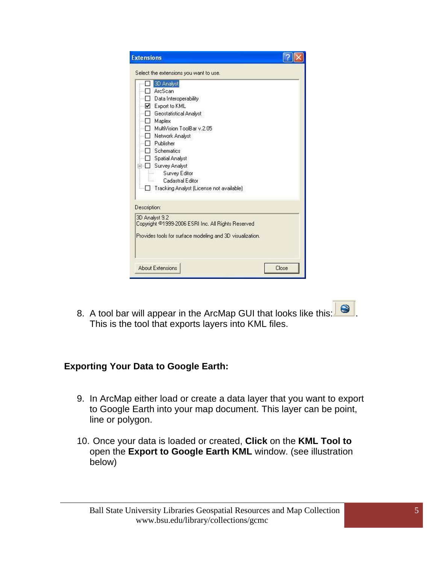| <b>Extensions</b>                                                                                                                                                                                                                                                                                                        |
|--------------------------------------------------------------------------------------------------------------------------------------------------------------------------------------------------------------------------------------------------------------------------------------------------------------------------|
| Select the extensions you want to use.                                                                                                                                                                                                                                                                                   |
| 3D Analyst<br>ArcScan<br>Data Interoperability<br>Export to KML<br>▿<br>Geostatistical Analyst<br>Maplex<br>MultiVision ToolBar v.2.05<br>Network Analyst<br>Publisher<br>Schematics<br><b>Spatial Analyst</b><br><b>Survey Analyst</b><br>Survey Editor<br>Cadastral Editor<br>Tracking Analyst (License not available) |
|                                                                                                                                                                                                                                                                                                                          |
| Description:<br>3D Analyst 9.2                                                                                                                                                                                                                                                                                           |
| Copyright ©1999-2006 ESRI Inc. All Rights Reserved<br>Provides tools for surface modeling and 3D visualization.                                                                                                                                                                                                          |
| <b>About Extensions</b><br>Close                                                                                                                                                                                                                                                                                         |

8. A tool bar will appear in the ArcMap GUI that looks like this:  $\Box$ This is the tool that exports layers into KML files.

#### **Exporting Your Data to Google Earth:**

- 9. In ArcMap either load or create a data layer that you want to export to Google Earth into your map document. This layer can be point, line or polygon.
- 10. Once your data is loaded or created, **Click** on the **KML Tool to**  open the **Export to Google Earth KML** window. (see illustration below)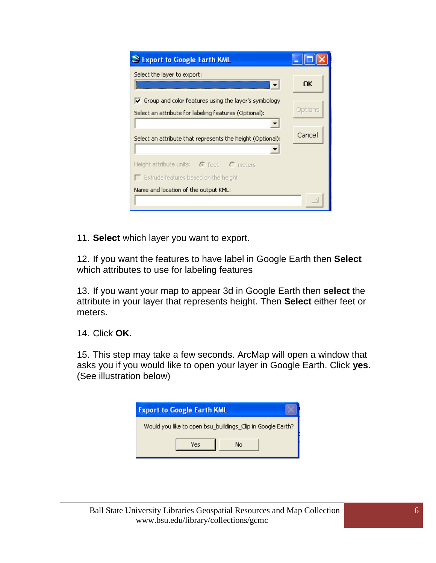| S Export to Google Earth KML                                                         |         |
|--------------------------------------------------------------------------------------|---------|
| Select the layer to export:                                                          | ОK      |
| $\overline{\blacktriangledown}$ Group and color features using the layer's symbology |         |
| Select an attribute for labeling features (Optional):                                | Options |
|                                                                                      | Cancel  |
| Select an attribute that represents the height (Optional):                           |         |
| Height attribute units: $\bigcirc$ feet $\bigcirc$ meters                            |         |
| $\Box$ Extrude features based on the height                                          |         |
| Name and location of the output KML:                                                 |         |

11. **Select** which layer you want to export.

12. If you want the features to have label in Google Earth then **Select** which attributes to use for labeling features

13. If you want your map to appear 3d in Google Earth then **select** the attribute in your layer that represents height. Then **Select** either feet or meters.

14. Click **OK.**

15. This step may take a few seconds. ArcMap will open a window that asks you if you would like to open your layer in Google Earth. Click **yes**. (See illustration below)

| <b>Export to Google Earth KML</b>                          |    |  |  |  |
|------------------------------------------------------------|----|--|--|--|
| Would you like to open bsu_buildings_Clip in Google Earth? |    |  |  |  |
| Yes                                                        | No |  |  |  |